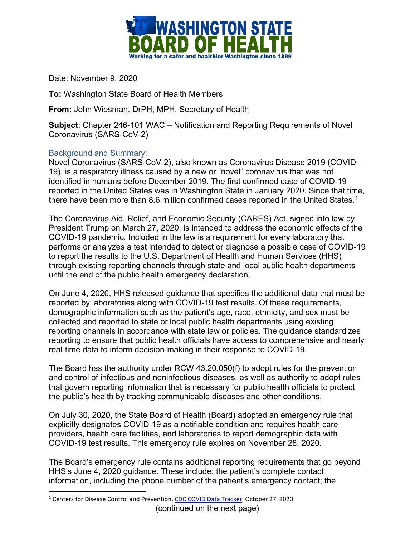

Date: November 9, 2020

**To:** Washington State Board of Health Members

**From:** John Wiesman, DrPH, MPH, Secretary of Health

**Subject**: Chapter 246-101 WAC – Notification and Reporting Requirements of Novel Coronavirus (SARS-CoV-2)

## Background and Summary:

Novel Coronavirus (SARS-CoV-2), also known as Coronavirus Disease 2019 (COVID-19), is a respiratory illness caused by a new or "novel" coronavirus that was not identified in humans before December 2019. The first confirmed case of COVID-19 reported in the United States was in Washington State in January 2020. Since that time, there have been more than 8.6 million confirmed cases reported in the United States.<sup>1</sup>

The Coronavirus Aid, Relief, and Economic Security (CARES) Act, signed into law by President Trump on March 27, 2020, is intended to address the economic effects of the COVID-19 pandemic. Included in the law is a requirement for every laboratory that performs or analyzes a test intended to detect or diagnose a possible case of COVID-19 to report the results to the U.S. Department of Health and Human Services (HHS) through existing reporting channels through state and local public health departments until the end of the public health emergency declaration.

On June 4, 2020, HHS released guidance that specifies the additional data that must be reported by laboratories along with COVID-19 test results. Of these requirements, demographic information such as the patient's age, race, ethnicity, and sex must be collected and reported to state or local public health departments using existing reporting channels in accordance with state law or policies. The guidance standardizes reporting to ensure that public health officials have access to comprehensive and nearly real-time data to inform decision-making in their response to COVID-19.

The Board has the authority under RCW 43.20.050(f) to adopt rules for the prevention and control of infectious and noninfectious diseases, as well as authority to adopt rules that govern reporting information that is necessary for public health officials to protect the public's health by tracking communicable diseases and other conditions.

On July 30, 2020, the State Board of Health (Board) adopted an emergency rule that explicitly designates COVID-19 as a notifiable condition and requires health care providers, health care facilities, and laboratories to report demographic data with COVID-19 test results. This emergency rule expires on November 28, 2020.

The Board's emergency rule contains additional reporting requirements that go beyond HHS's June 4, 2020 guidance. These include: the patient's complete contact information, including the phone number of the patient's emergency contact; the

<span id="page-0-0"></span><sup>(</sup>continued on the next page) <sup>1</sup> Centers for Disease Control and Prevention, [CDC COVID Data Tracker,](https://covid.cdc.gov/covid-data-tracker/#cases_casesinlast7days) October 27, 2020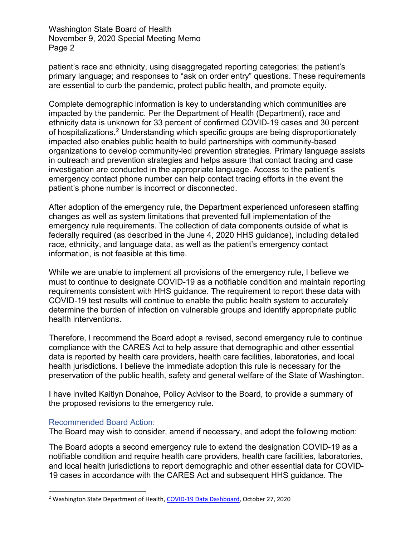Washington State Board of Health November 9, 2020 Special Meeting Memo Page 2

patient's race and ethnicity, using disaggregated reporting categories; the patient's primary language; and responses to "ask on order entry" questions. These requirements are essential to curb the pandemic, protect public health, and promote equity.

Complete demographic information is key to understanding which communities are impacted by the pandemic. Per the Department of Health (Department), race and ethnicity data is unknown for 33 percent of confirmed COVID-19 cases and 30 percent of hospitalizations.[2](#page-1-0) Understanding which specific groups are being disproportionately impacted also enables public health to build partnerships with community-based organizations to develop community-led prevention strategies. Primary language assists in outreach and prevention strategies and helps assure that contact tracing and case investigation are conducted in the appropriate language. Access to the patient's emergency contact phone number can help contact tracing efforts in the event the patient's phone number is incorrect or disconnected.

After adoption of the emergency rule, the Department experienced unforeseen staffing changes as well as system limitations that prevented full implementation of the emergency rule requirements. The collection of data components outside of what is federally required (as described in the June 4, 2020 HHS guidance), including detailed race, ethnicity, and language data, as well as the patient's emergency contact information, is not feasible at this time.

While we are unable to implement all provisions of the emergency rule, I believe we must to continue to designate COVID-19 as a notifiable condition and maintain reporting requirements consistent with HHS guidance. The requirement to report these data with COVID-19 test results will continue to enable the public health system to accurately determine the burden of infection on vulnerable groups and identify appropriate public health interventions.

Therefore, I recommend the Board adopt a revised, second emergency rule to continue compliance with the CARES Act to help assure that demographic and other essential data is reported by health care providers, health care facilities, laboratories, and local health jurisdictions. I believe the immediate adoption this rule is necessary for the preservation of the public health, safety and general welfare of the State of Washington.

I have invited Kaitlyn Donahoe, Policy Advisor to the Board, to provide a summary of the proposed revisions to the emergency rule.

## Recommended Board Action:

The Board may wish to consider, amend if necessary, and adopt the following motion:

The Board adopts a second emergency rule to extend the designation COVID-19 as a notifiable condition and require health care providers, health care facilities, laboratories, and local health jurisdictions to report demographic and other essential data for COVID-19 cases in accordance with the CARES Act and subsequent HHS guidance. The

<span id="page-1-0"></span><sup>2</sup> Washington State Department of Health, [COVID-19 Data Dashboard,](https://www.doh.wa.gov/Emergencies/COVID19/DataDashboard) October 27, 2020